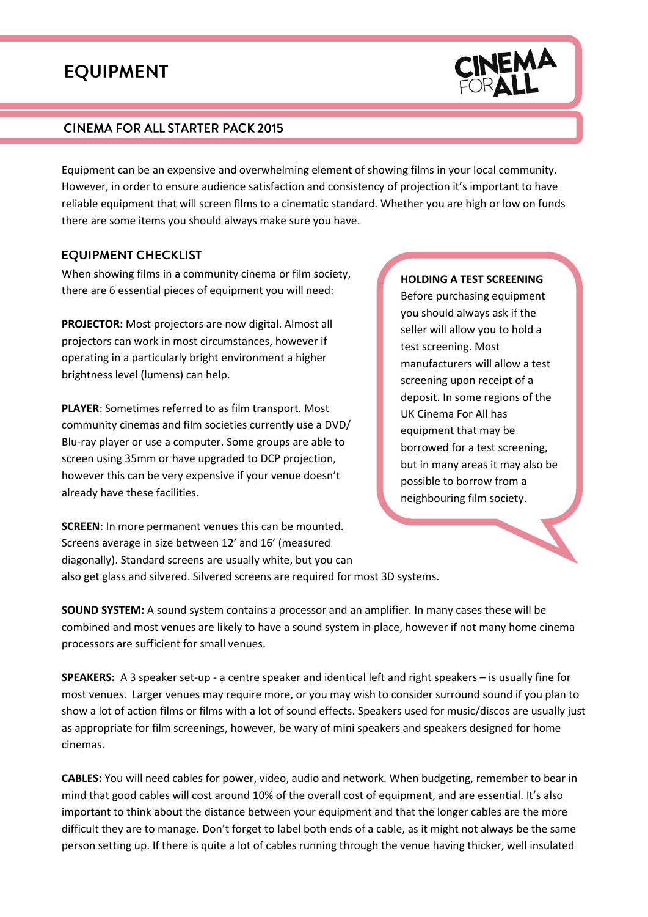# **EQUIPMENT**

#### CINEMA FOR ALL STARTER PACK 2015

Equipment can be an expensive and overwhelming element of showing films in your local community. However, in order to ensure audience satisfaction and consistency of projection it's important to have reliable equipment that will screen films to a cinematic standard. Whether you are high or low on funds there are some items you should always make sure you have.

#### **EQUIPMENT CHECKLIST**

When showing films in a community cinema or film society, there are 6 essential pieces of equipment you will need:

**PROJECTOR:** Most projectors are now digital. Almost all projectors can work in most circumstances, however if operating in a particularly bright environment a higher brightness level (lumens) can help.

**PLAYER**: Sometimes referred to as film transport. Most community cinemas and film societies currently use a DVD/ Blu-ray player or use a computer. Some groups are able to screen using 35mm or have upgraded to DCP projection, however this can be very expensive if your venue doesn't already have these facilities.

**SCREEN**: In more permanent venues this can be mounted. Screens average in size between 12' and 16' (measured diagonally). Standard screens are usually white, but you can

#### **HOLDING A TEST SCREENING**

Before purchasing equipment you should always ask if the seller will allow you to hold a test screening. Most manufacturers will allow a test screening upon receipt of a deposit. In some regions of the UK Cinema For All has equipment that may be borrowed for a test screening, but in many areas it may also be possible to borrow from a neighbouring film society.

also get glass and silvered. Silvered screens are required for most 3D systems.

**SOUND SYSTEM:** A sound system contains a processor and an amplifier. In many cases these will be combined and most venues are likely to have a sound system in place, however if not many home cinema processors are sufficient for small venues.

**SPEAKERS:** A 3 speaker set-up - a centre speaker and identical left and right speakers – is usually fine for most venues. Larger venues may require more, or you may wish to consider surround sound if you plan to show a lot of action films or films with a lot of sound effects. Speakers used for music/discos are usually just as appropriate for film screenings, however, be wary of mini speakers and speakers designed for home cinemas.

**CABLES:** You will need cables for power, video, audio and network. When budgeting, remember to bear in mind that good cables will cost around 10% of the overall cost of equipment, and are essential. It's also important to think about the distance between your equipment and that the longer cables are the more difficult they are to manage. Don't forget to label both ends of a cable, as it might not always be the same person setting up. If there is quite a lot of cables running through the venue having thicker, well insulated

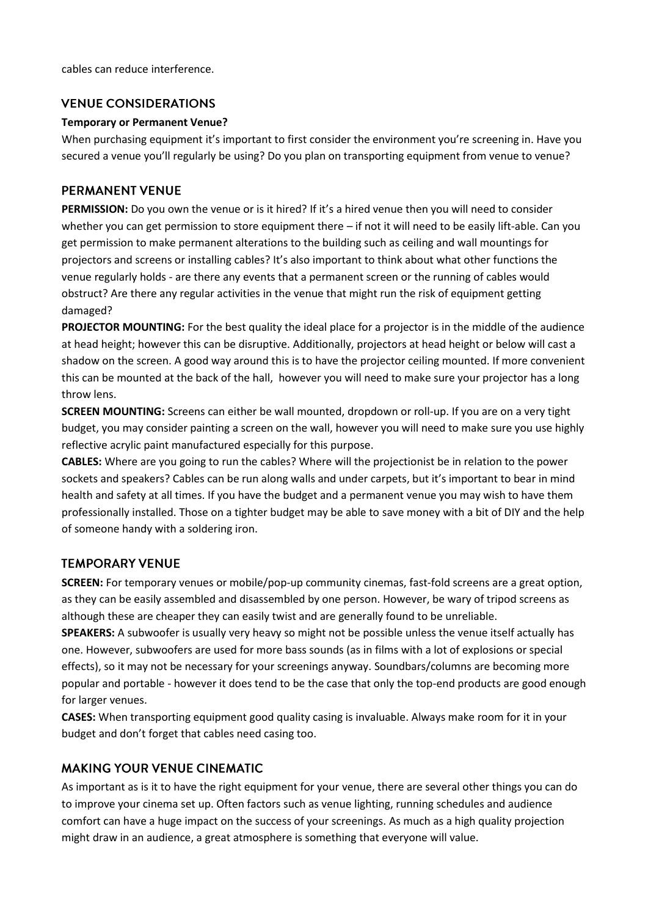cables can reduce interference.

#### **VENUE CONSIDERATIONS**

#### **Temporary or Permanent Venue?**

When purchasing equipment it's important to first consider the environment you're screening in. Have you secured a venue you'll regularly be using? Do you plan on transporting equipment from venue to venue?

## **PERMANENT VENUE**

**PERMISSION:** Do you own the venue or is it hired? If it's a hired venue then you will need to consider whether you can get permission to store equipment there – if not it will need to be easily lift-able. Can you get permission to make permanent alterations to the building such as ceiling and wall mountings for projectors and screens or installing cables? It's also important to think about what other functions the venue regularly holds - are there any events that a permanent screen or the running of cables would obstruct? Are there any regular activities in the venue that might run the risk of equipment getting damaged?

**PROJECTOR MOUNTING:** For the best quality the ideal place for a projector is in the middle of the audience at head height; however this can be disruptive. Additionally, projectors at head height or below will cast a shadow on the screen. A good way around this is to have the projector ceiling mounted. If more convenient this can be mounted at the back of the hall, however you will need to make sure your projector has a long throw lens.

**SCREEN MOUNTING:** Screens can either be wall mounted, dropdown or roll-up. If you are on a very tight budget, you may consider painting a screen on the wall, however you will need to make sure you use highly reflective acrylic paint manufactured especially for this purpose.

**CABLES:** Where are you going to run the cables? Where will the projectionist be in relation to the power sockets and speakers? Cables can be run along walls and under carpets, but it's important to bear in mind health and safety at all times. If you have the budget and a permanent venue you may wish to have them professionally installed. Those on a tighter budget may be able to save money with a bit of DIY and the help of someone handy with a soldering iron.

## **TEMPORARY VENUE**

**SCREEN:** For temporary venues or mobile/pop-up community cinemas, fast-fold screens are a great option, as they can be easily assembled and disassembled by one person. However, be wary of tripod screens as although these are cheaper they can easily twist and are generally found to be unreliable.

**SPEAKERS:** A subwoofer is usually very heavy so might not be possible unless the venue itself actually has one. However, subwoofers are used for more bass sounds (as in films with a lot of explosions or special effects), so it may not be necessary for your screenings anyway. Soundbars/columns are becoming more popular and portable - however it does tend to be the case that only the top-end products are good enough for larger venues.

**CASES:** When transporting equipment good quality casing is invaluable. Always make room for it in your budget and don't forget that cables need casing too.

## **MAKING YOUR VENUE CINEMATIC**

As important as is it to have the right equipment for your venue, there are several other things you can do to improve your cinema set up. Often factors such as venue lighting, running schedules and audience comfort can have a huge impact on the success of your screenings. As much as a high quality projection might draw in an audience, a great atmosphere is something that everyone will value.